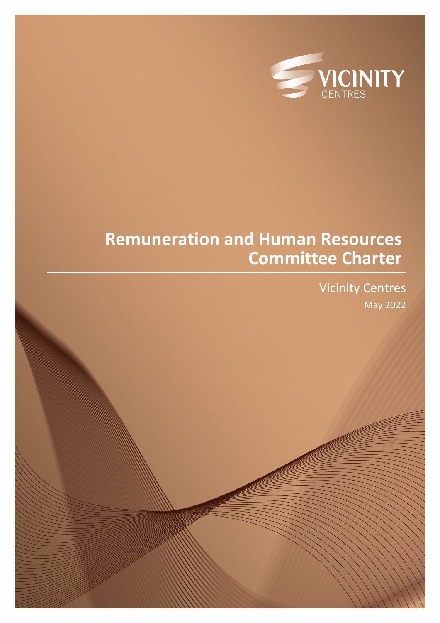

# **Remuneration and Human Resources Committee Charter**

Vicinity Centres May 2022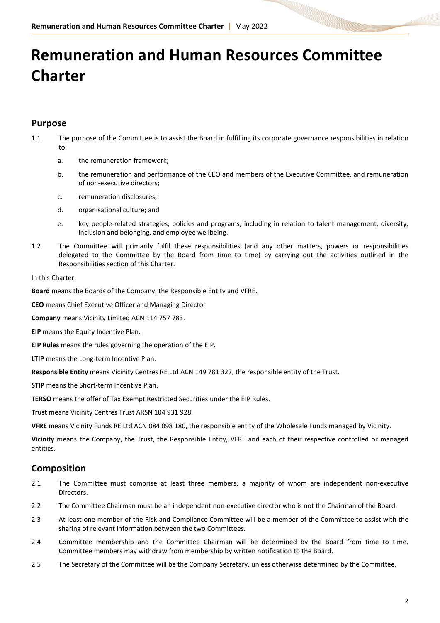# **Remuneration and Human Resources Committee Charter**

## **Purpose**

- 1.1 The purpose of the Committee is to assist the Board in fulfilling its corporate governance responsibilities in relation to:
	- a. the remuneration framework;
	- b. the remuneration and performance of the CEO and members of the Executive Committee, and remuneration of non-executive directors;
	- c. remuneration disclosures;
	- d. organisational culture; and
	- e. key people-related strategies, policies and programs, including in relation to talent management, diversity, inclusion and belonging, and employee wellbeing.
- 1.2 The Committee will primarily fulfil these responsibilities (and any other matters, powers or responsibilities delegated to the Committee by the Board from time to time) by carrying out the activities outlined in the Responsibilities section of this Charter.

In this Charter:

**Board** means the Boards of the Company, the Responsible Entity and VFRE.

**CEO** means Chief Executive Officer and Managing Director

**Company** means Vicinity Limited ACN 114 757 783.

**EIP** means the Equity Incentive Plan.

**EIP Rules** means the rules governing the operation of the EIP.

**LTIP** means the Long-term Incentive Plan.

**Responsible Entity** means Vicinity Centres RE Ltd ACN 149 781 322, the responsible entity of the Trust.

**STIP** means the Short-term Incentive Plan.

**TERSO** means the offer of Tax Exempt Restricted Securities under the EIP Rules.

**Trust** means Vicinity Centres Trust ARSN 104 931 928.

**VFRE** means Vicinity Funds RE Ltd ACN 084 098 180, the responsible entity of the Wholesale Funds managed by Vicinity.

**Vicinity** means the Company, the Trust, the Responsible Entity, VFRE and each of their respective controlled or managed entities.

# **Composition**

- 2.1 The Committee must comprise at least three members, a majority of whom are independent non-executive Directors.
- 2.2 The Committee Chairman must be an independent non-executive director who is not the Chairman of the Board.
- 2.3 At least one member of the Risk and Compliance Committee will be a member of the Committee to assist with the sharing of relevant information between the two Committees.
- 2.4 Committee membership and the Committee Chairman will be determined by the Board from time to time. Committee members may withdraw from membership by written notification to the Board.
- 2.5 The Secretary of the Committee will be the Company Secretary, unless otherwise determined by the Committee.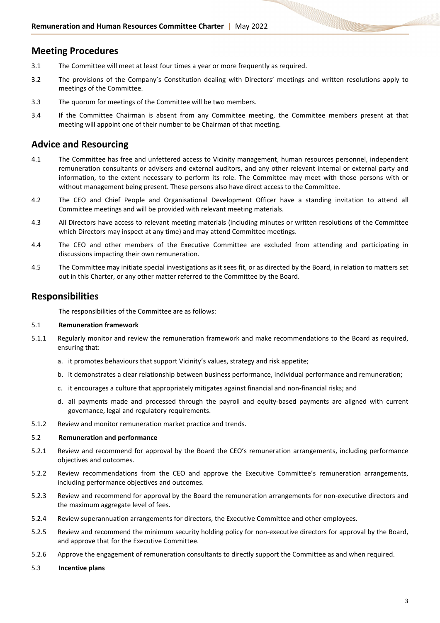## **Meeting Procedures**

- 3.1 The Committee will meet at least four times a year or more frequently as required.
- 3.2 The provisions of the Company's Constitution dealing with Directors' meetings and written resolutions apply to meetings of the Committee.
- 3.3 The quorum for meetings of the Committee will be two members.
- 3.4 If the Committee Chairman is absent from any Committee meeting, the Committee members present at that meeting will appoint one of their number to be Chairman of that meeting.

## **Advice and Resourcing**

- 4.1 The Committee has free and unfettered access to Vicinity management, human resources personnel, independent remuneration consultants or advisers and external auditors, and any other relevant internal or external party and information, to the extent necessary to perform its role. The Committee may meet with those persons with or without management being present. These persons also have direct access to the Committee.
- 4.2 The CEO and Chief People and Organisational Development Officer have a standing invitation to attend all Committee meetings and will be provided with relevant meeting materials.
- 4.3 All Directors have access to relevant meeting materials (including minutes or written resolutions of the Committee which Directors may inspect at any time) and may attend Committee meetings.
- 4.4 The CEO and other members of the Executive Committee are excluded from attending and participating in discussions impacting their own remuneration.
- 4.5 The Committee may initiate special investigations as it sees fit, or as directed by the Board, in relation to matters set out in this Charter, or any other matter referred to the Committee by the Board.

### **Responsibilities**

The responsibilities of the Committee are as follows:

#### 5.1 **Remuneration framework**

- 5.1.1 Regularly monitor and review the remuneration framework and make recommendations to the Board as required, ensuring that:
	- a. it promotes behaviours that support Vicinity's values, strategy and risk appetite;
	- b. it demonstrates a clear relationship between business performance, individual performance and remuneration;
	- c. it encourages a culture that appropriately mitigates against financial and non-financial risks; and
	- d. all payments made and processed through the payroll and equity-based payments are aligned with current governance, legal and regulatory requirements.
- 5.1.2 Review and monitor remuneration market practice and trends.

#### 5.2 **Remuneration and performance**

- 5.2.1 Review and recommend for approval by the Board the CEO's remuneration arrangements, including performance objectives and outcomes.
- 5.2.2 Review recommendations from the CEO and approve the Executive Committee's remuneration arrangements, including performance objectives and outcomes.
- 5.2.3 Review and recommend for approval by the Board the remuneration arrangements for non-executive directors and the maximum aggregate level of fees.
- 5.2.4 Review superannuation arrangements for directors, the Executive Committee and other employees.
- 5.2.5 Review and recommend the minimum security holding policy for non-executive directors for approval by the Board, and approve that for the Executive Committee.
- 5.2.6 Approve the engagement of remuneration consultants to directly support the Committee as and when required.
- 5.3 **Incentive plans**